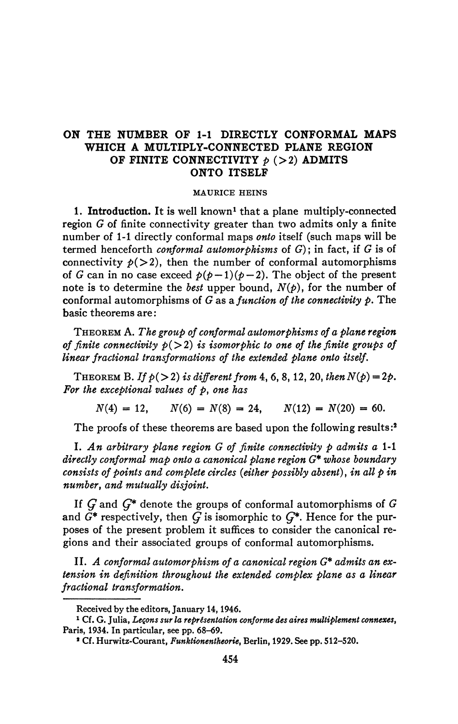## **ON THE NUMBER OF 1-1 DIRECTLY CONFORMAL MAPS WHICH A MULTIPLY-CONNECTED PLANE REGION OF FINITE CONNECTIVITY**  $p$  (>2) **ADMITS ONTO ITSELF**

## **MAURICE HEINS**

1. Introduction. It is well known<sup>1</sup> that a plane multiply-connected region *G* of finite connectivity greater than two admits only a finite number of 1-1 directly conformai maps *onto* itself (such maps will be termed henceforth *conformai automorphisms* of *G)* ; in fact, if *G* is of connectivity  $p(>2)$ , then the number of conformal automorphisms of *G* can in no case exceed  $p(p-1)(p-2)$ . The object of the present note is to determine the *best* upper bound, *N(p),* for the number of conformai automorphisms of *G* as *a, function of the connectivity p.* The basic theorems are :

THEOREM A. *The group of conformai automorphisms of a plane region of finite connectivity*  $p(>2)$  *is isomorphic to one of the finite groups of linear fractional transformations of the extended plane onto itself.* 

THEOREM B. If  $p(>2)$  is different from 4, 6, 8, 12, 20, then  $N(p)=2p$ . *For the exceptional values of p, one has* 

 $N(4) = 12, \qquad N(6) = N(8) = 24, \qquad N(12) = N(20) = 60.$ 

The proofs of these theorems are based upon the following results:<sup>2</sup>

I. *An arbitrary plane region G of finite connectivity p admits a* 1-1 *directly conformai map onto a canonical plane region G\* whose boundary consists of points and complete circles (either possibly absent)*, *in all p in number, and mutually disjoint.* 

If *Q* and *Ç\** denote the groups of conformai automorphisms of *G*  and  $\tilde{G}^*$  respectively, then  $\tilde{G}$  is isomorphic to  $G^*$ . Hence for the purposes of the present problem it suffices to consider the canonical regions and their associated groups of conformai automorphisms.

II. *A conformai automorphism of a canonical region G\* admits an extension in definition throughout the extended complex plane as a linear fractional transformation.* 

**Received by the editors, January 14,1946.** 

**<sup>1</sup> Cf. G. Julia,** *Leçons sur la représentation conforme des aires multiplement connexes,*  **Paris, 1934. In particular, see pp. 68-69.** 

**<sup>\*</sup> Cf. Hurwitz-Courant,** *Funktionentheorie,* **Berlin, 1929. See pp. 512-520.**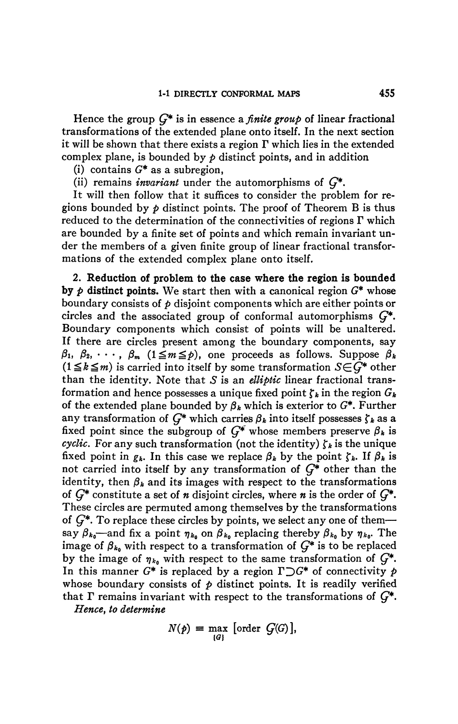Hence the group *Ç\** is in essence *a finite group* of linear fractional transformations of the extended plane onto itself. In the next section it will be shown that there exists a region T which lies in the extended complex plane, is bounded by  $\phi$  distinct points, and in addition

(i) contains *G\** as a subregion,

(ii) remains *invariant* under the automorphisms of *Ç\*.* 

It will then follow that it suffices to consider the problem for regions bounded by  $p$  distinct points. The proof of Theorem B is thus reduced to the determination of the connectivities of regions  $\Gamma$  which are bounded by a finite set öf points and which remain invariant under the members of a given finite group of linear fractional transformations of the extended complex plane onto itself.

**2. Reduction of problem to the case where the region is bounded by**  $\phi$  distinct points. We start then with a canonical region  $G^*$  whose boundary consists of *p* disjoint components which are either points or circles and the associated group of conformai automorphisms *Ç\*.*  Boundary components which consist of points will be unaltered. If there are circles present among the boundary components, say  $\beta_1, \beta_2, \cdots, \beta_m \ (1 \leq m \leq p)$ , one proceeds as follows. Suppose  $\beta_k$  $(1 \leq k \leq m)$  is carried into itself by some transformation  $S \in \widehat{G}^*$  other than the identity. Note that *S* is an *elliptic* linear fractional transformation and hence possesses a unique fixed point  $\zeta_k$  in the region  $G_k$ of the extended plane bounded by  $\beta_k$  which is exterior to  $G^*$ . Further any transformation of  $G^*$  which carries  $\beta_k$  into itself possesses  $\zeta_k$  as a fixed point since the subgroup of  $G^*$  whose members preserve  $\beta_k$  is *cyclic.* For any such transformation (not the identity)  $\zeta_k$  is the unique fixed point in  $g_k$ . In this case we replace  $\beta_k$  by the point  $\zeta_k$ . If  $\beta_k$  is not carried into itself by any transformation of *Ç\** other than the identity, then  $\beta_k$  and its images with respect to the transformations of *Ç\** constitute a set of *n* disjoint circles, where *n* is the order of *Ç\*.*  These circles are permuted among themselves by the transformations of  $G^*$ . To replace these circles by points, we select any one of them say  $\beta_{k_0}$ —and fix a point  $\eta_{k_0}$  on  $\beta_{k_0}$  replacing thereby  $\beta_{k_0}$  by  $\eta_{k_0}$ . The image of  $\beta_{k_0}$  with respect to a transformation of  $G^*$  is to be replaced by the image of  $\eta_{k_0}$  with respect to the same transformation of  $G^*$ . In this manner  $G^*$  is replaced by a region  $\Gamma \supset G^*$  of connectivity  $p$ whose boundary consists of  $p$  distinct points. It is readily verified that  $\Gamma$  remains invariant with respect to the transformations of  $G^*$ .

*Hence, to determine* 

$$
N(p) = \max_{\{G\}} [\text{order } G(G)],
$$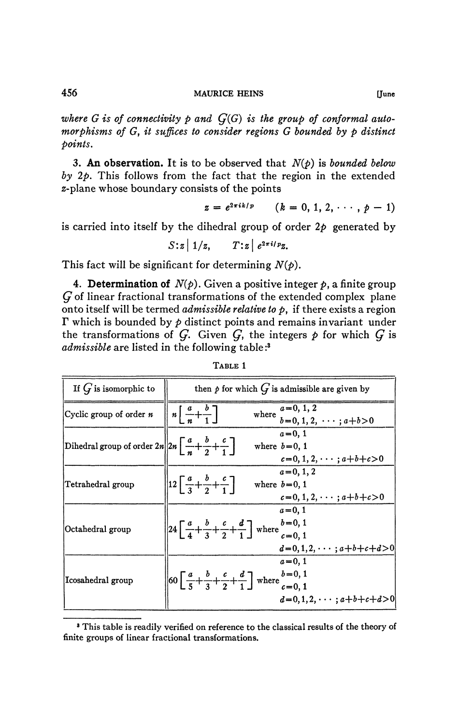where  $G$  is of connectivity  $p$  and  $G(G)$  is the group of conformal auto*morphisms of G, it suffices to consider regions G bounded by p distinct points,* 

3. An **observation.** It is to be observed that *N{p)* is *bounded below by 2p.* This follows from the fact that the region in the extended z-plane whose boundary consists of the points

$$
z = e^{2\pi i k/p} \qquad (k = 0, 1, 2, \cdots, p-1)
$$

is carried into itself by the dihedral group of order  $2p$  generated by

$$
S: \mathbf{z} \mid \mathbf{1}/\mathbf{z}, \qquad T: \mathbf{z} \mid e^{2\pi i/p} \mathbf{z}.
$$

This fact will be significant for determining  $N(\phi)$ .

**4. Determination of**  $N(p)$ . Given a positive integer  $p$ , a finite group *Ç* of linear fractional transformations of the extended complex plane onto itself will be termed *admissible relative to p,* if there exists a region  $\Gamma$  which is bounded by  $\phi$  distinct points and remains invariant under the transformations of  $G$ . Given  $G$ , the integers  $p$  for which  $G$  is *admissible* are listed in the following table :<sup>3</sup>

| If $G$ is isomorphic to                                                                               | then $p$ for which $G$ is admissible are given by                                                                                                                                 |  |  |
|-------------------------------------------------------------------------------------------------------|-----------------------------------------------------------------------------------------------------------------------------------------------------------------------------------|--|--|
| Cyclic group of order n                                                                               | $a=0, 1, 2$<br>$n\left[\frac{a}{n}+\frac{b}{1}\right]$<br>where<br>$b=0, 1, 2, \cdots; a+b>0$                                                                                     |  |  |
| Dihedral group of order $2n\left 2n\left\lceil\frac{a}{n}+\frac{b}{2}+\frac{c}{1}\right\rceil\right $ | $a = 0, 1$<br>where $b=0, 1$<br>$c=0, 1, 2, \cdots; a+b+c>0$                                                                                                                      |  |  |
| Tetrahedral group                                                                                     | $a=0, 1, 2$<br>$\left 12\left[\frac{a}{3}+\frac{b}{2}+\frac{c}{1}\right]\right $<br>where $b=0, 1$<br>$c=0, 1, 2, \cdots; a+b+c>0$                                                |  |  |
| Octahedral group                                                                                      | $a = 0, 1$<br>$  24\left[\frac{a}{4} + \frac{b}{3} + \frac{c}{2} + \frac{d}{1}\right]$ where $\frac{b=0, 1}{c=0, 1}$<br>$c = 0, 1$<br>$d=0, 1, 2, \cdots; a+b+c+d>0$              |  |  |
| Icosahedral group                                                                                     | $a = 0, 1$<br>$\left\  60 \left[ \frac{a}{5} + \frac{b}{3} + \frac{c}{2} + \frac{d}{1} \right] \right\ $ where $\frac{b=0,1}{c=0,1}$<br>$c = 0, 1$<br>$d=0,1,2,\cdots; a+b+c+d>0$ |  |  |

## TABLE 1

<sup>&</sup>lt;sup>8</sup> This table is readily verified on reference to the classical results of the theory of finite groups of linear fractional transformations.